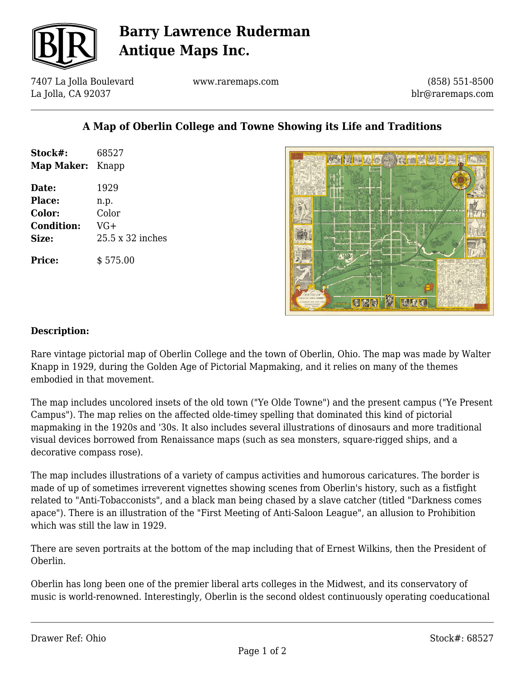

# **Barry Lawrence Ruderman Antique Maps Inc.**

7407 La Jolla Boulevard La Jolla, CA 92037

www.raremaps.com

(858) 551-8500 blr@raremaps.com

### **A Map of Oberlin College and Towne Showing its Life and Traditions**

| Stock#:<br><b>Map Maker:</b> Knapp | 68527            |
|------------------------------------|------------------|
| Date:                              | 1929             |
| <b>Place:</b>                      | n.p.             |
| Color:                             | Color            |
| <b>Condition:</b>                  | VG+              |
| Size:                              | 25.5 x 32 inches |
| Price:                             | \$575.00         |



#### **Description:**

Rare vintage pictorial map of Oberlin College and the town of Oberlin, Ohio. The map was made by Walter Knapp in 1929, during the Golden Age of Pictorial Mapmaking, and it relies on many of the themes embodied in that movement.

The map includes uncolored insets of the old town ("Ye Olde Towne") and the present campus ("Ye Present Campus"). The map relies on the affected olde-timey spelling that dominated this kind of pictorial mapmaking in the 1920s and '30s. It also includes several illustrations of dinosaurs and more traditional visual devices borrowed from Renaissance maps (such as sea monsters, square-rigged ships, and a decorative compass rose).

The map includes illustrations of a variety of campus activities and humorous caricatures. The border is made of up of sometimes irreverent vignettes showing scenes from Oberlin's history, such as a fistfight related to "Anti-Tobacconists", and a black man being chased by a slave catcher (titled "Darkness comes apace"). There is an illustration of the "First Meeting of Anti-Saloon League", an allusion to Prohibition which was still the law in 1929.

There are seven portraits at the bottom of the map including that of Ernest Wilkins, then the President of Oberlin.

Oberlin has long been one of the premier liberal arts colleges in the Midwest, and its conservatory of music is world-renowned. Interestingly, Oberlin is the second oldest continuously operating coeducational